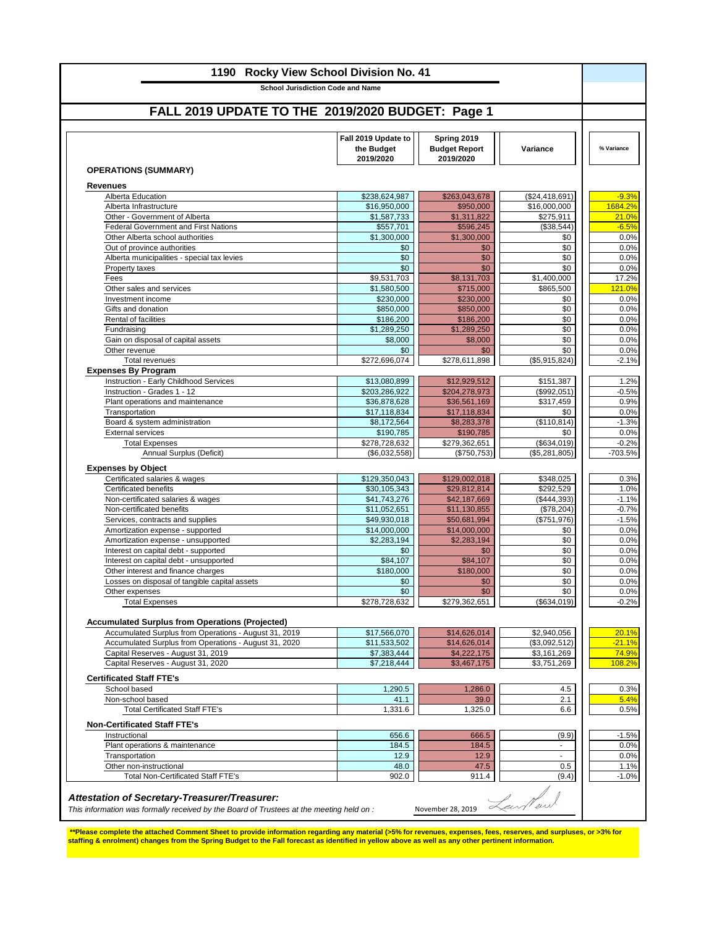| 1190 Rocky View School Division No. 41                                     |                               |                                   |                           |                  |
|----------------------------------------------------------------------------|-------------------------------|-----------------------------------|---------------------------|------------------|
| <b>School Jurisdiction Code and Name</b>                                   |                               |                                   |                           |                  |
| FALL 2019 UPDATE TO THE 2019/2020 BUDGET: Page 1                           |                               |                                   |                           |                  |
|                                                                            | Fall 2019 Update to           | Spring 2019                       |                           |                  |
|                                                                            | the Budget<br>2019/2020       | <b>Budget Report</b><br>2019/2020 | Variance                  | % Variance       |
| <b>OPERATIONS (SUMMARY)</b>                                                |                               |                                   |                           |                  |
| <b>Revenues</b>                                                            |                               |                                   |                           |                  |
| Alberta Education                                                          | \$238,624,987<br>\$16.950.000 | \$263,043,678                     | (\$24,418,691)            | $-9.3%$          |
| Alberta Infrastructure<br>Other - Government of Alberta                    | \$1,587,733                   | \$950,000<br>\$1,311,822          | \$16,000,000<br>\$275,911 | 1684.2%<br>21.0% |
| <b>Federal Government and First Nations</b>                                | \$557,701                     | \$596,245                         | (\$38,544)                | $-6.5%$          |
| Other Alberta school authorities                                           | \$1,300,000                   | \$1,300,000                       | \$0                       | 0.0%             |
| Out of province authorities                                                | \$0                           | \$0                               | \$0                       | 0.0%             |
| Alberta municipalities - special tax levies                                | \$0                           | \$0                               | \$0                       | 0.0%             |
| Property taxes                                                             | \$0                           | \$0                               | \$0                       | 0.0%             |
| Fees                                                                       | \$9,531,703                   | \$8,131,703                       | \$1,400,000               | 17.2%            |
| Other sales and services                                                   | \$1,580,500                   | \$715,000                         | \$865,500                 | 121.0%           |
| Investment income<br>Gifts and donation                                    | \$230,000<br>\$850,000        | \$230,000                         | \$0                       | 0.0%<br>0.0%     |
| Rental of facilities                                                       | \$186,200                     | \$850,000<br>\$186,200            | \$0<br>\$0                | 0.0%             |
| Fundraising                                                                | \$1,289,250                   | \$1,289,250                       | \$0                       | 0.0%             |
| Gain on disposal of capital assets                                         | \$8,000                       | \$8,000                           | \$0                       | 0.0%             |
| Other revenue                                                              | \$0                           | \$0                               | \$0                       | 0.0%             |
| <b>Total revenues</b>                                                      | \$272,696,074                 | \$278,611,898                     | (\$5,915,824)             | $-2.1%$          |
| <b>Expenses By Program</b>                                                 |                               |                                   |                           |                  |
| Instruction - Early Childhood Services                                     | \$13,080,899                  | \$12,929,512                      | \$151,387                 | 1.2%             |
| Instruction - Grades 1 - 12                                                | \$203,286,922                 | \$204,278,973                     | (\$992,051)               | $-0.5%$          |
| Plant operations and maintenance                                           | \$36,878,628                  | \$36,561,169                      | \$317,459                 | 0.9%             |
| Transportation                                                             | \$17,118,834                  | \$17,118,834                      | \$0                       | 0.0%             |
| Board & system administration                                              | \$8,172,564                   | \$8,283,378                       | (\$110, 814)              | $-1.3%$          |
| <b>External services</b><br><b>Total Expenses</b>                          | \$190,785<br>\$278,728,632    | \$190,785<br>\$279,362,651        | \$0<br>(\$634,019)        | 0.0%<br>$-0.2%$  |
| Annual Surplus (Deficit)                                                   | (\$6,032,558)                 | (\$750, 753)                      | (\$5,281,805)             | $-703.5%$        |
| <b>Expenses by Object</b>                                                  |                               |                                   |                           |                  |
| Certificated salaries & wages                                              | \$129,350,043                 | \$129,002,018                     | \$348,025                 | 0.3%             |
| <b>Certificated benefits</b>                                               | \$30,105,343                  | \$29,812,814                      | \$292,529                 | 1.0%             |
| Non-certificated salaries & wages                                          | \$41,743,276                  | \$42,187,669                      | (\$444,393)               | $-1.1%$          |
| Non-certificated benefits                                                  | \$11,052,651                  | \$11,130,855                      | (\$78,204)                | $-0.7%$          |
| Services, contracts and supplies                                           | \$49,930,018                  | \$50,681,994                      | (\$751,976)               | $-1.5%$          |
| Amortization expense - supported                                           | \$14,000,000<br>\$2,283,194   | \$14,000,000<br>\$2,283,194       | \$0<br>\$0                | 0.0%<br>0.0%     |
| Amortization expense - unsupported<br>Interest on capital debt - supported | \$0                           | \$0                               | \$0                       | 0.0%             |
| Interest on capital debt - unsupported                                     | \$84,107                      | \$84,107                          | \$0                       | 0.0%             |
| Other interest and finance charges                                         | \$180,000                     | \$180,000                         | \$0                       | 0.0%             |
| Losses on disposal of tangible capital assets                              | \$0                           | \$0                               | \$0                       | 0.0%             |
| Other expenses                                                             | \$0                           | \$0                               | \$0                       | 0.0%             |
| <b>Total Expenses</b>                                                      | \$278,728,632                 | \$279,362,651                     | (\$634,019)               | $-0.2%$          |
| <b>Accumulated Surplus from Operations (Projected)</b>                     |                               |                                   |                           |                  |
| Accumulated Surplus from Operations - August 31, 2019                      | \$17,566,070                  | \$14,626,014                      | \$2,940,056               | 20.1%            |
| Accumulated Surplus from Operations - August 31, 2020                      | \$11,533,502                  | \$14,626,014                      | (\$3,092,512)             | $-21.1%$         |
| Capital Reserves - August 31, 2019                                         | \$7,383,444                   | \$4,222,175                       | \$3,161,269               | 74.9%            |
| Capital Reserves - August 31, 2020<br><b>Certificated Staff FTE's</b>      | \$7,218,444                   | \$3,467,175                       | \$3,751,269               | 108.2%           |
| School based                                                               | 1,290.5                       | 1,286.0                           | 4.5                       | 0.3%             |
| Non-school based                                                           | 41.1                          | 39.0                              | 2.1                       | 5.4%             |
| <b>Total Certificated Staff FTE's</b>                                      | 1,331.6                       | 1,325.0                           | 6.6                       | 0.5%             |
| <b>Non-Certificated Staff FTE's</b>                                        |                               |                                   |                           |                  |
| Instructional<br>Plant operations & maintenance                            | 656.6<br>184.5                | 666.5<br>184.5                    | (9.9)<br>$\blacksquare$   | $-1.5%$<br>0.0%  |
| Transportation                                                             | 12.9                          | 12.9                              |                           | 0.0%             |
| Other non-instructional                                                    | 48.0                          | 47.5                              | 0.5                       | 1.1%             |
| <b>Total Non-Certificated Staff FTE's</b>                                  | 902.0                         | 911.4                             | (9.4)                     | $-1.0%$          |
|                                                                            |                               |                                   |                           |                  |

*This information was formally received by the Board of Trustees at the meeting held on :* 

November 28, 2019

\*\*Please complete the attached Comment Sheet to provide information regarding any material (>5% for revenues, expenses, fees, reserves, and surpluses, or >3% for<br>staffing & enrolment) changes from the Spring Budget to the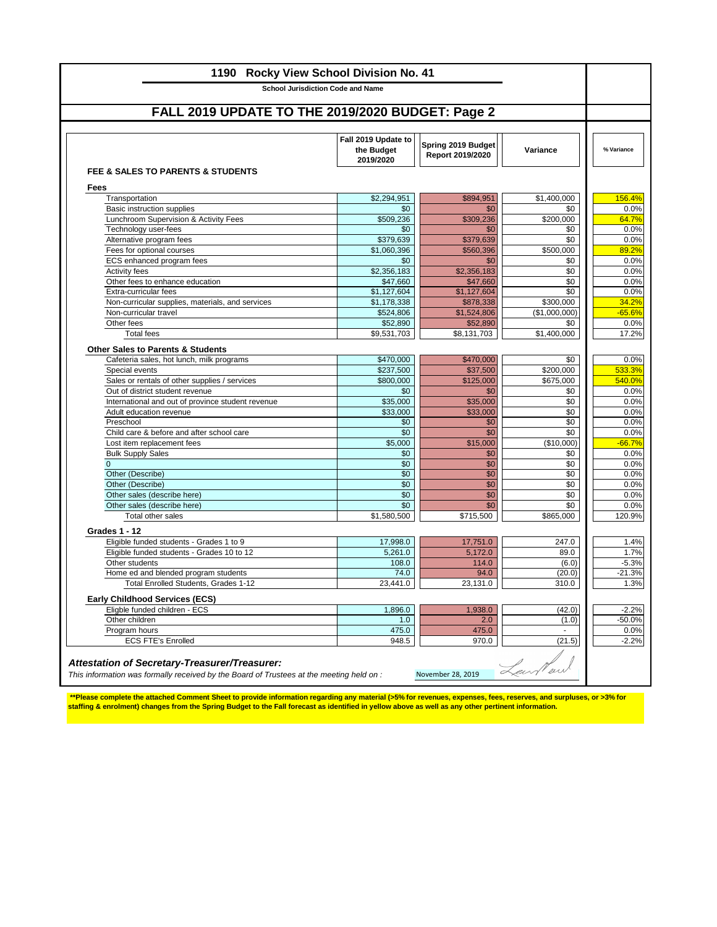|                                                   | 1190 Rocky View School Division No. 41         |                                        |               |            |
|---------------------------------------------------|------------------------------------------------|----------------------------------------|---------------|------------|
|                                                   | <b>School Jurisdiction Code and Name</b>       |                                        |               |            |
| FALL 2019 UPDATE TO THE 2019/2020 BUDGET: Page 2  |                                                |                                        |               |            |
|                                                   |                                                |                                        |               |            |
|                                                   | Fall 2019 Update to<br>the Budget<br>2019/2020 | Spring 2019 Budget<br>Report 2019/2020 | Variance      | % Variance |
| FEE & SALES TO PARENTS & STUDENTS<br>Fees         |                                                |                                        |               |            |
| Transportation                                    | \$2,294,951                                    | \$894,951                              | \$1,400,000   | 156.4%     |
| <b>Basic instruction supplies</b>                 | \$0                                            | \$0                                    | \$0           | 0.0%       |
| Lunchroom Supervision & Activity Fees             | \$509,236                                      | \$309,236                              | \$200,000     | 64.7%      |
| Technology user-fees                              | \$0                                            | \$0                                    | \$0           | 0.0%       |
| Alternative program fees                          | \$379,639                                      | \$379,639                              | \$0           | 0.0%       |
| Fees for optional courses                         | \$1,060,396                                    | \$560,396                              | \$500,000     | 89.2%      |
| ECS enhanced program fees                         | \$0                                            | \$0                                    | \$0           | 0.0%       |
| <b>Activity fees</b>                              | \$2,356,183                                    | \$2,356,183                            | \$0           | 0.0%       |
| Other fees to enhance education                   | \$47,660                                       | \$47,660                               | \$0           | 0.0%       |
| Extra-curricular fees                             | \$1,127,604                                    | \$1,127,604                            | \$0           | 0.0%       |
| Non-curricular supplies, materials, and services  | \$1,178,338                                    | \$878,338                              | \$300,000     | 34.2%      |
| Non-curricular travel                             | \$524,806                                      | \$1,524,806                            | (\$1,000,000) | $-65.6%$   |
| Other fees                                        | \$52,890                                       | \$52,890                               | \$0           | 0.0%       |
| <b>Total fees</b>                                 | \$9,531,703                                    | \$8,131,703                            | \$1,400,000   | 17.2%      |
| <b>Other Sales to Parents &amp; Students</b>      |                                                |                                        |               |            |
| Cafeteria sales, hot lunch, milk programs         | \$470,000                                      | \$470,000                              | \$0           | 0.0%       |
| Special events                                    | \$237,500                                      | \$37,500                               | \$200.000     | 533.3%     |
| Sales or rentals of other supplies / services     | \$800,000                                      | \$125,000                              | \$675,000     | 540.0%     |
| Out of district student revenue                   | \$0                                            | \$0                                    | \$0           | 0.0%       |
| International and out of province student revenue | \$35.000                                       | \$35,000                               | \$0           | 0.0%       |
| Adult education revenue                           | \$33,000                                       | \$33,000                               | \$0           | 0.0%       |
| Preschool                                         | \$0                                            | \$0                                    | \$0           | 0.0%       |
| Child care & before and after school care         | \$0                                            | \$0                                    | \$0           | 0.0%       |
| Lost item replacement fees                        | \$5,000                                        | \$15,000                               | (\$10,000)    | $-66.7%$   |
| <b>Bulk Supply Sales</b>                          | \$0                                            | \$0                                    | \$0           | 0.0%       |
|                                                   | \$0                                            | \$0                                    | \$0           | 0.0%       |
| Other (Describe)                                  | \$0                                            | \$0                                    | \$0           | 0.0%       |
| Other (Describe)                                  | \$0                                            | \$0                                    | \$0           | 0.0%       |
| Other sales (describe here)                       | \$0                                            | $\overline{50}$                        | \$0           | 0.0%       |
| Other sales (describe here)                       | \$0                                            | \$0                                    | \$0           | 0.0%       |
| Total other sales                                 | \$1,580,500                                    | \$715,500                              | \$865,000     | 120.9%     |
|                                                   |                                                |                                        |               |            |
| <b>Grades 1 - 12</b>                              |                                                |                                        |               |            |
| Eligible funded students - Grades 1 to 9          | 17.998.0                                       | 17,751.0                               | 247.0         | 1.4%       |
| Eligible funded students - Grades 10 to 12        | 5,261.0                                        | 5,172.0                                | 89.0          | 1.7%       |
| Other students                                    | 108.0                                          | 114.0                                  | (6.0)         | $-5.3%$    |
| Home ed and blended program students              | 74.0                                           | 94.0                                   | (20.0)        | $-21.3%$   |
| Total Enrolled Students, Grades 1-12              | 23,441.0                                       | 23,131.0                               | 310.0         | 1.3%       |
| Early Childhood Services (ECS)                    |                                                |                                        |               |            |
| Eligble funded children - ECS                     | 1,896.0                                        | 1,938.0                                | (42.0)        | $-2.2%$    |
| Other children                                    | 1.0                                            | 2.0                                    | (1.0)         | -50.0%     |
|                                                   | 475.0                                          | 475.0                                  |               | 0.0%       |
| Program hours                                     |                                                |                                        |               |            |

\*\*Please complete the attached Comment Sheet to provide information regarding any material (>5% for revenues, expenses, fees, reserves, and surpluses, or >3% for<br>staffing & enrolment) changes from the Spring Budget to the